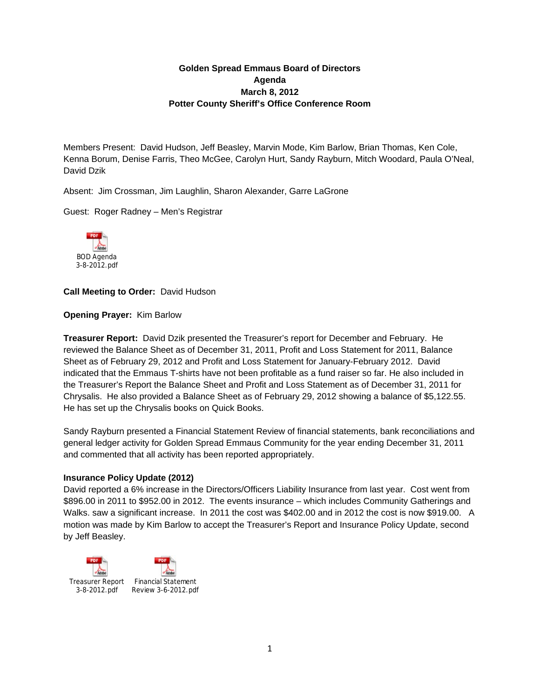# **Golden Spread Emmaus Board of Directors Agenda March 8, 2012 Potter County Sheriff's Office Conference Room**

Members Present: David Hudson, Jeff Beasley, Marvin Mode, Kim Barlow, Brian Thomas, Ken Cole, Kenna Borum, Denise Farris, Theo McGee, Carolyn Hurt, Sandy Rayburn, Mitch Woodard, Paula O'Neal, David Dzik

Absent: Jim Crossman, Jim Laughlin, Sharon Alexander, Garre LaGrone

Guest: Roger Radney – Men's Registrar



**Call Meeting to Order:** David Hudson

**Opening Prayer:** Kim Barlow

**Treasurer Report:** David Dzik presented the Treasurer's report for December and February. He reviewed the Balance Sheet as of December 31, 2011, Profit and Loss Statement for 2011, Balance Sheet as of February 29, 2012 and Profit and Loss Statement for January-February 2012. David indicated that the Emmaus T-shirts have not been profitable as a fund raiser so far. He also included in the Treasurer's Report the Balance Sheet and Profit and Loss Statement as of December 31, 2011 for Chrysalis. He also provided a Balance Sheet as of February 29, 2012 showing a balance of \$5,122.55. He has set up the Chrysalis books on Quick Books.

Sandy Rayburn presented a Financial Statement Review of financial statements, bank reconciliations and general ledger activity for Golden Spread Emmaus Community for the year ending December 31, 2011 and commented that all activity has been reported appropriately.

### **Insurance Policy Update (2012)**

David reported a 6% increase in the Directors/Officers Liability Insurance from last year. Cost went from \$896.00 in 2011 to \$952.00 in 2012. The events insurance – which includes Community Gatherings and Walks. saw a significant increase. In 2011 the cost was \$402.00 and in 2012 the cost is now \$919.00. A motion was made by Kim Barlow to accept the Treasurer's Report and Insurance Policy Update, second by Jeff Beasley.

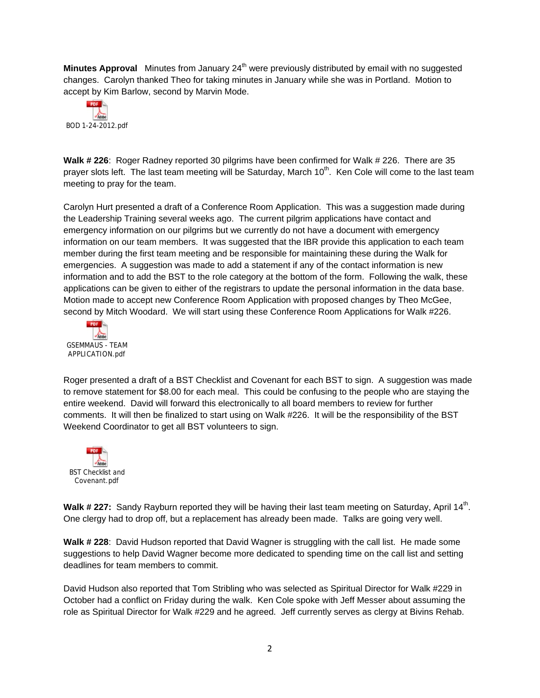**Minutes Approval** Minutes from January 24<sup>th</sup> were previously distributed by email with no suggested changes. Carolyn thanked Theo for taking minutes in January while she was in Portland. Motion to accept by Kim Barlow, second by Marvin Mode.



**Walk # 226**: Roger Radney reported 30 pilgrims have been confirmed for Walk # 226. There are 35 prayer slots left. The last team meeting will be Saturday, March  $10<sup>th</sup>$ . Ken Cole will come to the last team meeting to pray for the team.

Carolyn Hurt presented a draft of a Conference Room Application. This was a suggestion made during the Leadership Training several weeks ago. The current pilgrim applications have contact and emergency information on our pilgrims but we currently do not have a document with emergency information on our team members. It was suggested that the IBR provide this application to each team member during the first team meeting and be responsible for maintaining these during the Walk for emergencies. A suggestion was made to add a statement if any of the contact information is new information and to add the BST to the role category at the bottom of the form. Following the walk, these applications can be given to either of the registrars to update the personal information in the data base. Motion made to accept new Conference Room Application with proposed changes by Theo McGee, second by Mitch Woodard. We will start using these Conference Room Applications for Walk #226.



Roger presented a draft of a BST Checklist and Covenant for each BST to sign. A suggestion was made to remove statement for \$8.00 for each meal. This could be confusing to the people who are staying the entire weekend. David will forward this electronically to all board members to review for further comments. It will then be finalized to start using on Walk #226. It will be the responsibility of the BST Weekend Coordinator to get all BST volunteers to sign.



Walk # 227: Sandy Rayburn reported they will be having their last team meeting on Saturday, April 14<sup>th</sup>. One clergy had to drop off, but a replacement has already been made. Talks are going very well.

**Walk # 228**: David Hudson reported that David Wagner is struggling with the call list. He made some suggestions to help David Wagner become more dedicated to spending time on the call list and setting deadlines for team members to commit.

David Hudson also reported that Tom Stribling who was selected as Spiritual Director for Walk #229 in October had a conflict on Friday during the walk. Ken Cole spoke with Jeff Messer about assuming the role as Spiritual Director for Walk #229 and he agreed. Jeff currently serves as clergy at Bivins Rehab.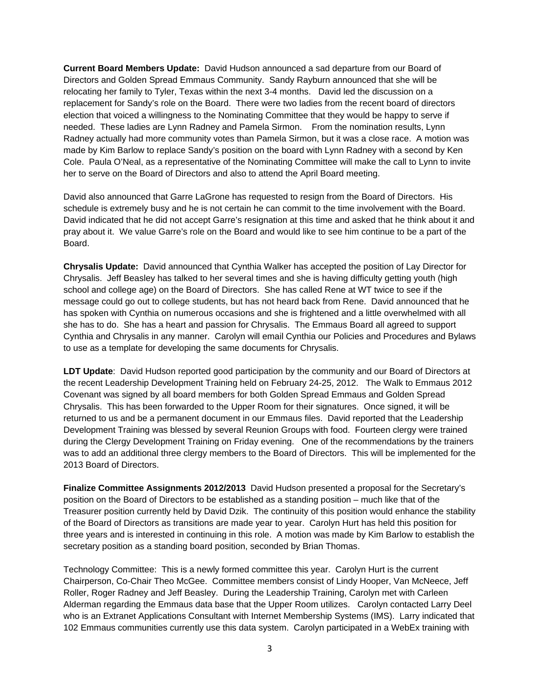**Current Board Members Update:** David Hudson announced a sad departure from our Board of Directors and Golden Spread Emmaus Community. Sandy Rayburn announced that she will be relocating her family to Tyler, Texas within the next 3-4 months. David led the discussion on a replacement for Sandy's role on the Board. There were two ladies from the recent board of directors election that voiced a willingness to the Nominating Committee that they would be happy to serve if needed. These ladies are Lynn Radney and Pamela Sirmon. From the nomination results, Lynn Radney actually had more community votes than Pamela Sirmon, but it was a close race. A motion was made by Kim Barlow to replace Sandy's position on the board with Lynn Radney with a second by Ken Cole. Paula O'Neal, as a representative of the Nominating Committee will make the call to Lynn to invite her to serve on the Board of Directors and also to attend the April Board meeting.

David also announced that Garre LaGrone has requested to resign from the Board of Directors. His schedule is extremely busy and he is not certain he can commit to the time involvement with the Board. David indicated that he did not accept Garre's resignation at this time and asked that he think about it and pray about it. We value Garre's role on the Board and would like to see him continue to be a part of the Board.

**Chrysalis Update:** David announced that Cynthia Walker has accepted the position of Lay Director for Chrysalis. Jeff Beasley has talked to her several times and she is having difficulty getting youth (high school and college age) on the Board of Directors. She has called Rene at WT twice to see if the message could go out to college students, but has not heard back from Rene. David announced that he has spoken with Cynthia on numerous occasions and she is frightened and a little overwhelmed with all she has to do. She has a heart and passion for Chrysalis. The Emmaus Board all agreed to support Cynthia and Chrysalis in any manner. Carolyn will email Cynthia our Policies and Procedures and Bylaws to use as a template for developing the same documents for Chrysalis.

**LDT Update**: David Hudson reported good participation by the community and our Board of Directors at the recent Leadership Development Training held on February 24-25, 2012. The Walk to Emmaus 2012 Covenant was signed by all board members for both Golden Spread Emmaus and Golden Spread Chrysalis. This has been forwarded to the Upper Room for their signatures. Once signed, it will be returned to us and be a permanent document in our Emmaus files. David reported that the Leadership Development Training was blessed by several Reunion Groups with food. Fourteen clergy were trained during the Clergy Development Training on Friday evening. One of the recommendations by the trainers was to add an additional three clergy members to the Board of Directors. This will be implemented for the 2013 Board of Directors.

**Finalize Committee Assignments 2012/2013** David Hudson presented a proposal for the Secretary's position on the Board of Directors to be established as a standing position – much like that of the Treasurer position currently held by David Dzik. The continuity of this position would enhance the stability of the Board of Directors as transitions are made year to year. Carolyn Hurt has held this position for three years and is interested in continuing in this role. A motion was made by Kim Barlow to establish the secretary position as a standing board position, seconded by Brian Thomas.

Technology Committee: This is a newly formed committee this year. Carolyn Hurt is the current Chairperson, Co-Chair Theo McGee. Committee members consist of Lindy Hooper, Van McNeece, Jeff Roller, Roger Radney and Jeff Beasley. During the Leadership Training, Carolyn met with Carleen Alderman regarding the Emmaus data base that the Upper Room utilizes. Carolyn contacted Larry Deel who is an Extranet Applications Consultant with Internet Membership Systems (IMS). Larry indicated that 102 Emmaus communities currently use this data system. Carolyn participated in a WebEx training with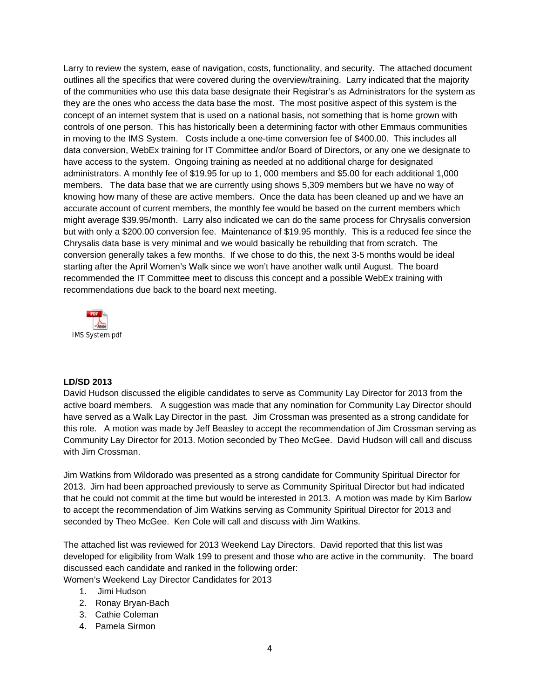Larry to review the system, ease of navigation, costs, functionality, and security. The attached document outlines all the specifics that were covered during the overview/training. Larry indicated that the majority of the communities who use this data base designate their Registrar's as Administrators for the system as they are the ones who access the data base the most. The most positive aspect of this system is the concept of an internet system that is used on a national basis, not something that is home grown with controls of one person. This has historically been a determining factor with other Emmaus communities in moving to the IMS System. Costs include a one-time conversion fee of \$400.00. This includes all data conversion, WebEx training for IT Committee and/or Board of Directors, or any one we designate to have access to the system. Ongoing training as needed at no additional charge for designated administrators. A monthly fee of \$19.95 for up to 1, 000 members and \$5.00 for each additional 1,000 members. The data base that we are currently using shows 5,309 members but we have no way of knowing how many of these are active members. Once the data has been cleaned up and we have an accurate account of current members, the monthly fee would be based on the current members which might average \$39.95/month. Larry also indicated we can do the same process for Chrysalis conversion but with only a \$200.00 conversion fee. Maintenance of \$19.95 monthly. This is a reduced fee since the Chrysalis data base is very minimal and we would basically be rebuilding that from scratch. The conversion generally takes a few months. If we chose to do this, the next 3-5 months would be ideal starting after the April Women's Walk since we won't have another walk until August. The board recommended the IT Committee meet to discuss this concept and a possible WebEx training with recommendations due back to the board next meeting.



#### **LD/SD 2013**

David Hudson discussed the eligible candidates to serve as Community Lay Director for 2013 from the active board members. A suggestion was made that any nomination for Community Lay Director should have served as a Walk Lay Director in the past. Jim Crossman was presented as a strong candidate for this role. A motion was made by Jeff Beasley to accept the recommendation of Jim Crossman serving as Community Lay Director for 2013. Motion seconded by Theo McGee. David Hudson will call and discuss with Jim Crossman.

Jim Watkins from Wildorado was presented as a strong candidate for Community Spiritual Director for 2013. Jim had been approached previously to serve as Community Spiritual Director but had indicated that he could not commit at the time but would be interested in 2013. A motion was made by Kim Barlow to accept the recommendation of Jim Watkins serving as Community Spiritual Director for 2013 and seconded by Theo McGee. Ken Cole will call and discuss with Jim Watkins.

The attached list was reviewed for 2013 Weekend Lay Directors. David reported that this list was developed for eligibility from Walk 199 to present and those who are active in the community. The board discussed each candidate and ranked in the following order:

- Women's Weekend Lay Director Candidates for 2013
	- 1. Jimi Hudson
	- 2. Ronay Bryan-Bach
	- 3. Cathie Coleman
	- 4. Pamela Sirmon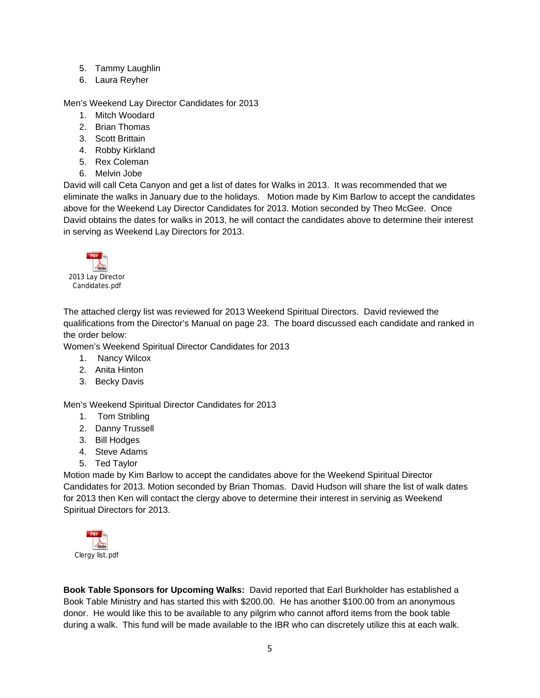- 5. Tammy Laughlin
- 6. Laura Reyher

### Men's Weekend Lay Director Candidates for 2013

- 1. Mitch Woodard
- 2. Brian Thomas
- 3. Scott Brittain
- 4. Robby Kirkland
- 5. Rex Coleman
- 6. Melvin Jobe

David will call Ceta Canyon and get a list of dates for Walks in 2013. It was recommended that we eliminate the walks in January due to the holidays. Motion made by Kim Barlow to accept the candidates above for the Weekend Lay Director Candidates for 2013. Motion seconded by Theo McGee. Once David obtains the dates for walks in 2013, he will contact the candidates above to determine their interest in serving as Weekend Lay Directors for 2013.



The attached clergy list was reviewed for 2013 Weekend Spiritual Directors. David reviewed the qualifications from the Director's Manual on page 23. The board discussed each candidate and ranked in the order below:

Women's Weekend Spiritual Director Candidates for 2013

- 1. Nancy Wilcox
- 2. Anita Hinton
- 3. Becky Davis

Men's Weekend Spiritual Director Candidates for 2013

- 1. Tom Stribling
- 2. Danny Trussell
- 3. Bill Hodges
- 4. Steve Adams
- 5. Ted Taylor

Motion made by Kim Barlow to accept the candidates above for the Weekend Spiritual Director Candidates for 2013. Motion seconded by Brian Thomas. David Hudson will share the list of walk dates for 2013 then Ken will contact the clergy above to determine their interest in servinig as Weekend Spiritual Directors for 2013.



**Book Table Sponsors for Upcoming Walks:** David reported that Earl Burkholder has established a Book Table Ministry and has started this with \$200.00. He has another \$100.00 from an anonymous donor. He would like this to be available to any pilgrim who cannot afford items from the book table during a walk. This fund will be made available to the IBR who can discretely utilize this at each walk.